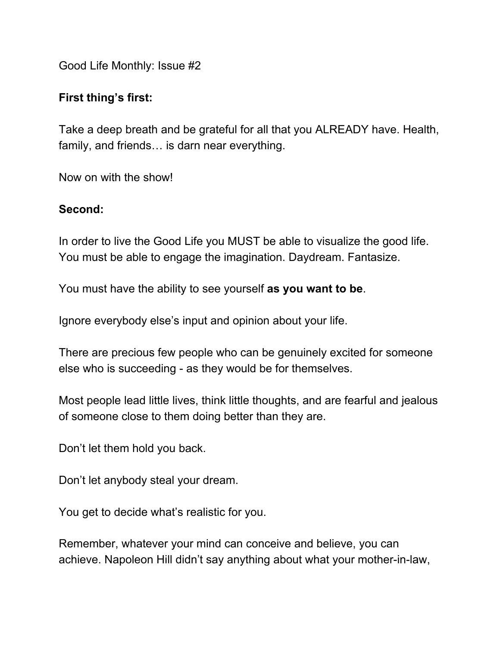Good Life Monthly: Issue #2

## **First thing's first:**

Take a deep breath and be grateful for all that you ALREADY have. Health, family, and friends… is darn near everything.

Now on with the show!

## **Second:**

In order to live the Good Life you MUST be able to visualize the good life. You must be able to engage the imagination. Daydream. Fantasize.

You must have the ability to see yourself **as you want to be**.

Ignore everybody else's input and opinion about your life.

There are precious few people who can be genuinely excited for someone else who is succeeding - as they would be for themselves.

Most people lead little lives, think little thoughts, and are fearful and jealous of someone close to them doing better than they are.

Don't let them hold you back.

Don't let anybody steal your dream.

You get to decide what's realistic for you.

Remember, whatever your mind can conceive and believe, you can achieve. Napoleon Hill didn't say anything about what your mother-in-law,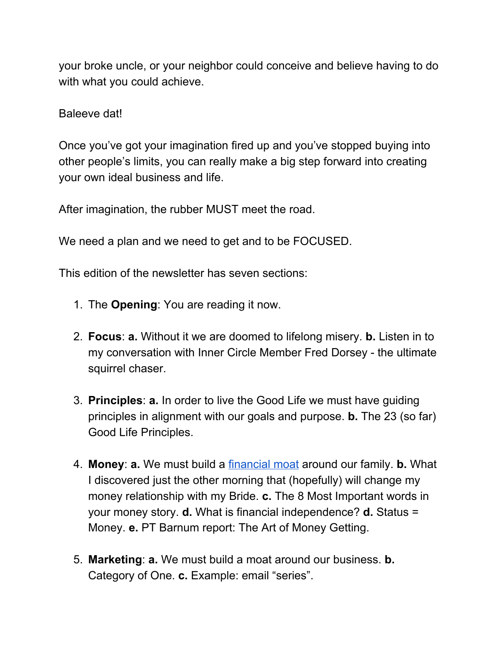your broke uncle, or your neighbor could conceive and believe having to do with what you could achieve.

## Baleeve dat!

Once you've got your imagination fired up and you've stopped buying into other people's limits, you can really make a big step forward into creating your own ideal business and life.

After imagination, the rubber MUST meet the road.

We need a plan and we need to get and to be FOCUSED.

This edition of the newsletter has seven sections:

- 1. The **Opening**: You are reading it now.
- 2. **Focus**: **a.** Without it we are doomed to lifelong misery. **b.** Listen in to my conversation with Inner Circle Member Fred Dorsey - the ultimate squirrel chaser.
- 3. **Principles**: **a.** In order to live the Good Life we must have guiding principles in alignment with our goals and purpose. **b.** The 23 (so far) Good Life Principles.
- 4. **Money**: **a.** We must build a [financial](https://realestategoodlife.com/build-a-financial-moat-now/) moat around our family. **b.** What I discovered just the other morning that (hopefully) will change my money relationship with my Bride. **c.** The 8 Most Important words in your money story. **d.** What is financial independence? **d.** Status = Money. **e.** PT Barnum report: The Art of Money Getting.
- 5. **Marketing**: **a.** We must build a moat around our business. **b.** Category of One. **c.** Example: email "series".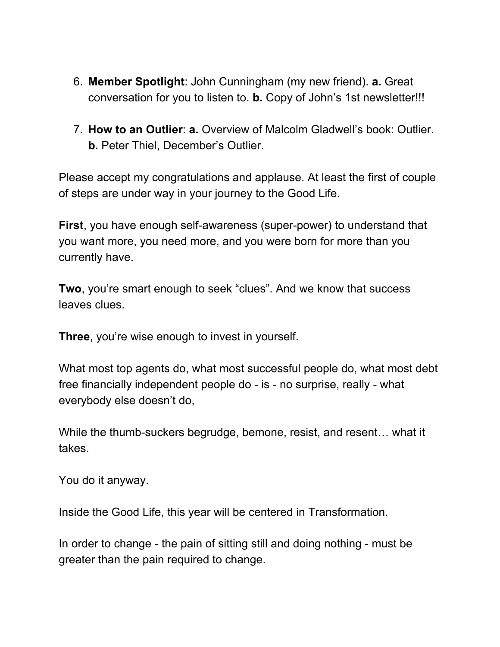- 6. **Member Spotlight**: John Cunningham (my new friend). **a.** Great conversation for you to listen to. **b.** Copy of John's 1st newsletter!!!
- 7. **How to an Outlier**: **a.** Overview of Malcolm Gladwell's book: Outlier. **b.** Peter Thiel, December's Outlier.

Please accept my congratulations and applause. At least the first of couple of steps are under way in your journey to the Good Life.

**First**, you have enough self-awareness (super-power) to understand that you want more, you need more, and you were born for more than you currently have.

**Two**, you're smart enough to seek "clues". And we know that success leaves clues.

**Three**, you're wise enough to invest in yourself.

What most top agents do, what most successful people do, what most debt free financially independent people do - is - no surprise, really - what everybody else doesn't do,

While the thumb-suckers begrudge, bemone, resist, and resent… what it takes.

You do it anyway.

Inside the Good Life, this year will be centered in Transformation.

In order to change - the pain of sitting still and doing nothing - must be greater than the pain required to change.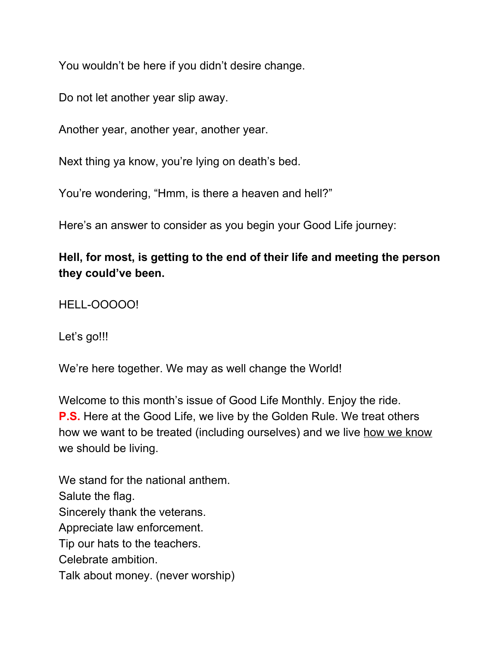You wouldn't be here if you didn't desire change.

Do not let another year slip away.

Another year, another year, another year.

Next thing ya know, you're lying on death's bed.

You're wondering, "Hmm, is there a heaven and hell?"

Here's an answer to consider as you begin your Good Life journey:

## **Hell, for most, is getting to the end of their life and meeting the person they could've been.**

HELL-OOOOO!

Let's go!!!

We're here together. We may as well change the World!

Welcome to this month's issue of Good Life Monthly. Enjoy the ride. **P.S.** Here at the Good Life, we live by the Golden Rule. We treat others how we want to be treated (including ourselves) and we live how we know we should be living.

We stand for the national anthem. Salute the flag. Sincerely thank the veterans. Appreciate law enforcement. Tip our hats to the teachers. Celebrate ambition. Talk about money. (never worship)